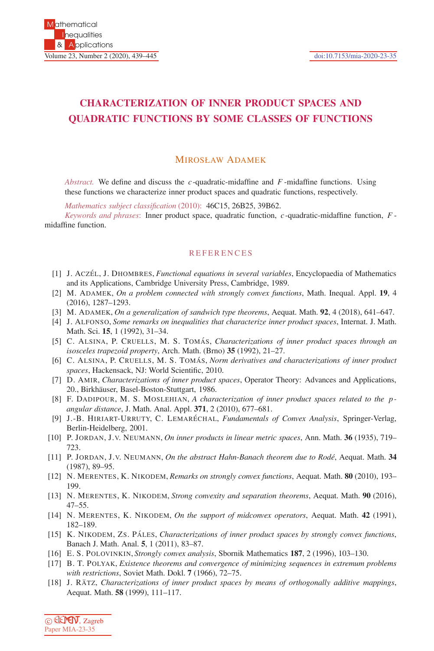## **CHARACTERIZATION OF INNER PRODUCT SPACES AND QUADRATIC FUNCTIONS BY SOME CLASSES OF FUNCTIONS**

## MIROSŁAW ADAMEK

*Abstract.* We define and discuss the *c* -quadratic-midaffine and *F* -midaffine functions. Using these functions we characterize inner product spaces and quadratic functions, respectively.

*Mathematics subject classification* (2010): 46C15, 26B25, 39B62.

*Keywords and phrases*: Inner product space, quadratic function, *c* -quadratic-midaffine function, *F* midaffine function.

## **REFERENCES**

- [1] J. ACZEL´ , J. DHOMBRES, *Functional equations in several variables*, Encyclopaedia of Mathematics and its Applications, Cambridge University Press, Cambridge, 1989.
- [2] M. ADAMEK, *On a problem connected with strongly convex functions*, Math. Inequal. Appl. **19**, 4 (2016), 1287–1293.
- [3] M. ADAMEK, *On a generalization of sandwich type theorems*, Aequat. Math. **92**, 4 (2018), 641–647.
- [4] J. ALFONSO, *Some remarks on inequalities that characterize inner product spaces*, Internat. J. Math. Math. Sci. **15**, 1 (1992), 31–34.
- [5] C. ALSINA, P. CRUELLS, M. S. TOMÁS, *Characterizations of inner product spaces through an isosceles trapezoid property*, Arch. Math. (Brno) **35** (1992), 21–27.
- [6] C. ALSINA, P. CRUELLS, M. S. TOMÁS, *Norm derivatives and characterizations of inner product spaces*, Hackensack, NJ: World Scientific, 2010.
- [7] D. AMIR, *Characterizations of inner product spaces*, Operator Theory: Advances and Applications, 20., Birkhäuser, Basel-Boston-Stuttgart, 1986.
- [8] F. DADIPOUR, M. S. MOSLEHIAN, *A characterization of inner product spaces related to the p angular distance*, J. Math. Anal. Appl. **371**, 2 (2010), 677–681.
- [9] J.-B. HIRIART-URRUTY, C. LEMARÉCHAL, *Fundamentals of Convex Analysis*, Springer-Verlag, Berlin-Heidelberg, 2001.
- [10] P. JORDAN, J.V. NEUMANN, *On inner products in linear metric spaces*, Ann. Math. **36** (1935), 719– 723.
- [11] P. JORDAN, J.V. NEUMANN, *On the abstract Hahn-Banach theorem due to Rod´e*, Aequat. Math. **34** (1987), 89–95.
- [12] N. MERENTES, K. NIKODEM, *Remarks on strongly convex functions*, Aequat. Math. **80** (2010), 193– 199.
- [13] N. MERENTES, K. NIKODEM, *Strong convexity and separation theorems*, Aequat. Math. **90** (2016), 47–55.
- [14] N. MERENTES, K. NIKODEM, *On the support of midconvex operators*, Aequat. Math. **42** (1991), 182–189.
- [15] K. NIKODEM, ZS. PÁLES, *Characterizations of inner product spaces by strongly convex functions*, Banach J. Math. Anal. **5**, 1 (2011), 83–87.
- [16] E. S. POLOVINKIN, *Strongly convex analysis*, Sbornik Mathematics **187**, 2 (1996), 103–130.
- [17] B. T. POLYAK, *Existence theorems and convergence of minimizing sequences in extremum problems with restrictions*, Soviet Math. Dokl. **7** (1966), 72–75.
- [18] J. RATZ, *Characterizations of inner product spaces by means of orthogonally additive mappings*, Aequat. Math. **58** (1999), 111–117.